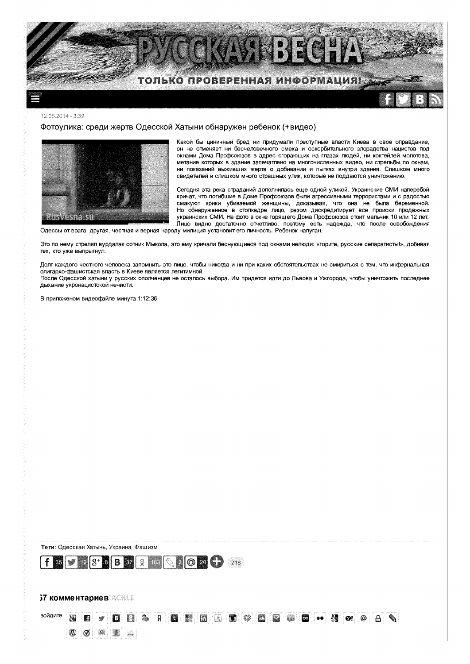

12.05.2014 - 3:39

# Фотоулика: среди жертв Одесской Хатыни обнаружен ребенок (+видео)



Какой бы циничный бред ни придумали преступные власти Киева в свое оправдание, он не отменяет ни бесчеловечного смеха и оскорбительного злорадства нацистов под окнами Дома Профсоюзов в адрес сгорающих на глазах людей, ни коктейлей молотова, метание которых в здание запечатлено на многочисленных видео, ни стрельбы по окнам, ни показаний выживших жертв о добивании и пытках внутри здания. Слишком много свидетелей и слишком много страшных улик, которые не поддаются уничтожению.

Сегодня эта река страданий дополнилась еще одной уликой. Украинские СМИ наперебой кричат, что погибшие в Доме Профсоюзов были агрессивными террористами и с радостью смакуют крики убиваемой женщины, доказывая, что она не была беременной. Но обнаруженное в стопкадре лицо, разом дискредитирует все происки продажных украинских СМИ. На фото в окне горящего Дома Профсоюзов стоит мальчик 10 или 12 лет. лицо видно достаточно отчетливо, поэтому есть надежда, что после освобождения

Одессы от врага, другая, честная и верная народу милиция установит его личность. Ребенок напуган.

Это по нему стрелял вурдалак сотник Мыкола, это ему кричали беснующиеся под окнами нелюди: «горите, русские сепаратисты!», добивая тех, кто уже выпрыгнул.

Долг каждого честного человека запомнить это лицо, чтобы никогда и ни при каких обстоятельствах не смириться с тем, что инфернальная олигархо-фашистская власть в Киеве является легитимной.

После Одесской хатыни у русских ополченцев не осталось выбора. Им придется идти до Львова и Ужгорода, чтобы уничтожить последнее дыхание укронацистской нечисти.

В приложеном видеофайле минута 1:12:36

Теги: Одесская Хатынь, Украина, Фашизм



# **37 комментариев ACKLE**

#### войдите Я **M** 0 O

H  $\frac{1}{2}$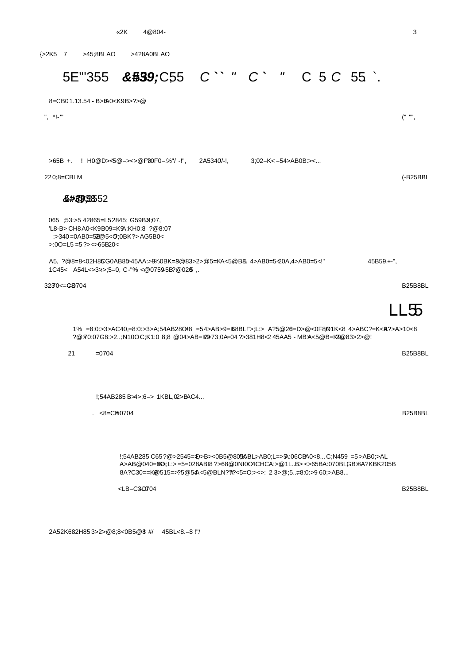{>2K5 7 >45;8BLAO >4?8A0BLAO

# 5E"35 **\$\$39;**C55 C``" C` " C 5C 55.

| 8=CB01.13.54-B>BA0 <k9b>?&gt;@</k9b>                                                                                                                                                                                     |             |
|--------------------------------------------------------------------------------------------------------------------------------------------------------------------------------------------------------------------------|-------------|
| $"$ , $*$ !- $"$                                                                                                                                                                                                         | $($ " " "   |
|                                                                                                                                                                                                                          |             |
|                                                                                                                                                                                                                          |             |
| >65B + . ! H0@D>~5@=><>@F00F0=%"/ - !",<br>$2A5340$ /-!<br>$3:02=K<=54>AB0B.>=$                                                                                                                                          |             |
| 220;8=CBLM                                                                                                                                                                                                               | $(-B25BBL)$ |
| 85#39,36552                                                                                                                                                                                                              |             |
| 065; 53:>5 42865=L52845; G59 B3;07,<br>'L8-B> CH8A0 <k9b09=k9a;kh0;8 ?@8:07<br="">:&gt;340=0AB0=528@5&lt;0;0BK?&gt;AG5B0&lt;<br/><math>&gt;00=15=5?</math> &gt; &lt; &gt; 65B20 &lt;</k9b09=k9a;kh0;8>                   |             |
| A5, ?@8=8<02H86G0AB85>45AA:>9%0BK=8@83>2>@5=K<5@B85 4>AB0=5<20A,4>AB0=5< !"<br>$45B59. +$ ",<br>1C45< A54L<>3>>;5=0, C-"%<@0759+5B?@0205                                                                                 |             |
| 32370 <= GB704                                                                                                                                                                                                           | B25B8BL     |
|                                                                                                                                                                                                                          | LL55        |
| 1 % =8:0:>3>AC40,=8:0:>3>A;54AB28O <del>L</del> 8 =54>AB>9=K68BL!">;L:> A?5@28=D>@<0F8\NK<8 4>ABC?=K<&?>A>10<8<br>?@70:07G8:>2;N10OC;K1:0 8:8 @04>AB=k2973:0A=04 ?>381H8<2 45AA5 - MBA<5@B=k22@83>2>@!                   |             |
| 21<br>$=0704$                                                                                                                                                                                                            | B25B8BL     |
|                                                                                                                                                                                                                          |             |
|                                                                                                                                                                                                                          |             |
| $!54AB285B33-6=>1KBL,02>BAC4$                                                                                                                                                                                            |             |
| $. <8 = CB0704$                                                                                                                                                                                                          | B25B8BL     |
|                                                                                                                                                                                                                          |             |
|                                                                                                                                                                                                                          |             |
| !;54AB285 C65?@>2545=}D>B><0B5@805ABL>AB0;L=>5A:06CBA0<8C;N459 =5>AB0;>AL<br>A>AB@040=&B};L:>=5=028ABL8?>68@0NI0O4CHCA:>@1LB><>65BA:070BLGB+8A?KBK205B<br>8A?C30==K@515=>?5@54k<5@BLN?#?<5=O:><>: 2 3>@;5=8:0:>9 60;>AB8 |             |

 $\leq$ LB=C3L0704 B25B8BL

2A5 2K682H85 3>2>@8;8 <0B5@8 **!** #/ 45BL<8.=8 !"/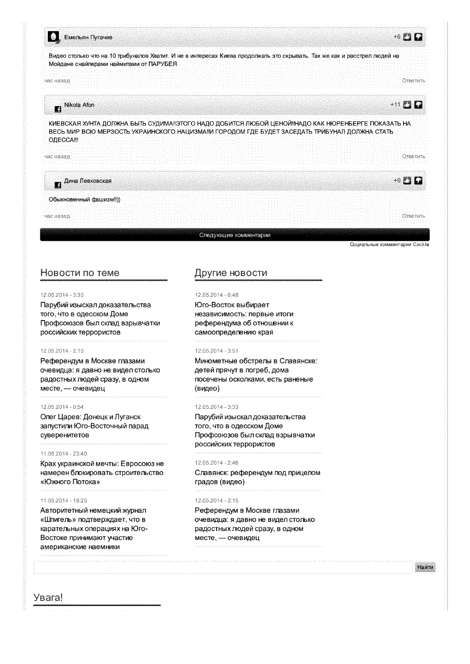

# Новости по теме

## 12.05.2014 - 3:33

Парубий изыскал доказательства того, что в одесском Доме Профсоюзов был склад взрывчатки российских террористов

## 12.05.2014 - 2:15

Референдум в Москве глазами очевидца: я давно не видел столько радостных людей сразу, в одном месте, - очевидец

#### 12.05.2014 - 0:54

Олег Царев: Донецк и Луганск запустили Юго-Восточный парад суверенитетов

## 210522014 **-** 23:49

Крах украинской мечты: Евросоюз не намерен блокировать строительство «Южного Потока»

#### ?5403>30: **8** 19:25

Авторитетный немецкий журнал «Шпигель» подтверждает, что в карательных операциях на Юго-Востоке принимают участие американские наемники

 $\overline{3}$  , Gas and the state of the state of the state of the state of the state of the state of the state of the state of the state of the state of the state of the state of the state of the state of the state of the sta

# Другие новости

#### 12.05.2014 - 6:48

Юго-Восток выбирает независимость: первые итоги референдума об отношении к самоопределению края

## 12.05.2014 - 3:51

Минометные обстрелы в Славянске: детей прячут в погреб, дома<br>посечены осколками, есть раненые (видео)

#### 12.05.2014 - 3:33

Парубий изыскал доказательства того, что в одесском Доме Профсоюзов был склад взрывчатки российских террористов

# 12.05.2014 - 2:46

Славянск: референдум под прицелом градов (видео)

#### $12.05.2014 - 2:15$

Референдум в Москве глазами очевидца: я давно не видел столько радостных людей сразу, в одном месте, - очевидец

Найти

16.56000000 0.00000000 Td

Социальные комментарии Cackle

Y<sub>B</sub>ara! !;02O=A:: @5D5@5=4C< ?>4 ?@8F5;><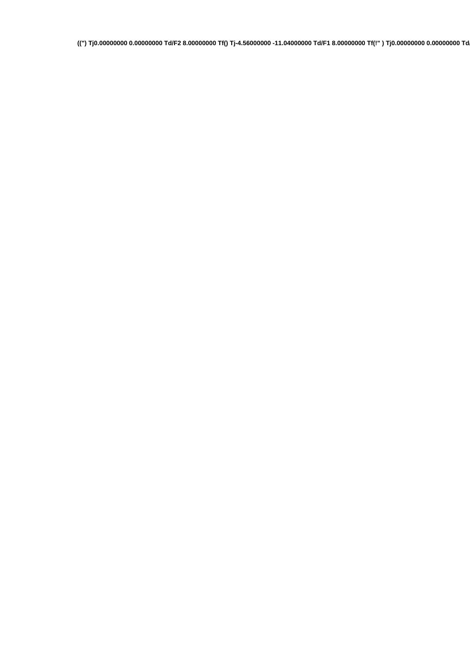**((") Tj 0.00000000 0.00000000 Td /F2 8.00000000 Tf () Tj -4.56000000 -11.04000000 Td /F1 8.00000000 Tf (!" ) Tj 0.00000000 0.00000000 Td**